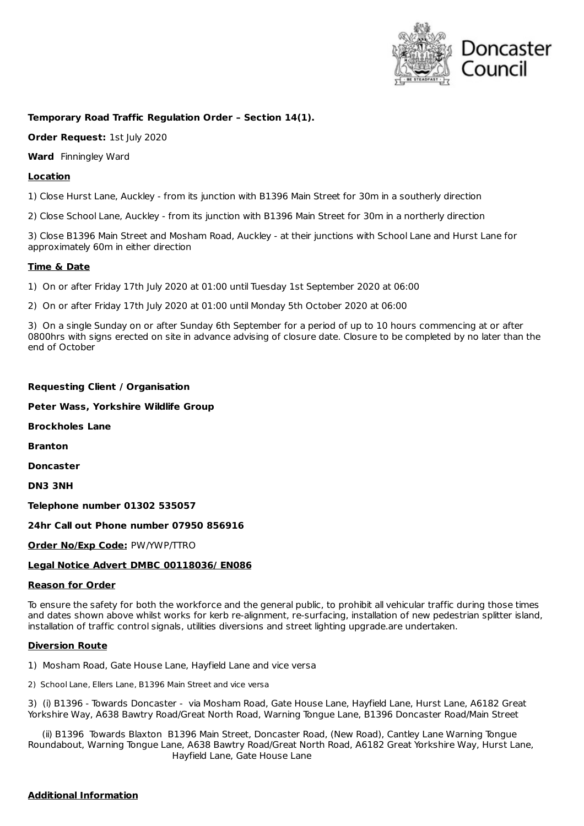

# **Temporary Road Traffic Regulation Order – Section 14(1).**

**Order Request:** 1st July 2020

**Ward** Finningley Ward

## **Location**

1) Close Hurst Lane, Auckley - from its junction with B1396 Main Street for 30m in a southerly direction

2) Close School Lane, Auckley - from its junction with B1396 Main Street for 30m in a northerly direction

3) Close B1396 Main Street and Mosham Road, Auckley - at their junctions with School Lane and Hurst Lane for approximately 60m in either direction

## **Time & Date**

1) On or after Friday 17th July 2020 at 01:00 until Tuesday 1st September 2020 at 06:00

2) On or after Friday 17th July 2020 at 01:00 until Monday 5th October 2020 at 06:00

3) On a single Sunday on or after Sunday 6th September for a period of up to 10 hours commencing at or after 0800hrs with signs erected on site in advance advising of closure date. Closure to be completed by no later than the end of October

#### **Requesting Client / Organisation**

**Peter Wass, Yorkshire Wildlife Group**

**Brockholes Lane**

**Branton**

**Doncaster**

**DN3 3NH**

**Telephone number 01302 535057**

## **24hr Call out Phone number 07950 856916**

**Order No/Exp Code:** PW/YWP/TTRO

## **Legal Notice Advert DMBC 00118036/ EN086**

#### **Reason for Order**

To ensure the safety for both the workforce and the general public, to prohibit all vehicular traffic during those times and dates shown above whilst works for kerb re-alignment, re-surfacing, installation of new pedestrian splitter island, installation of traffic control signals, utilities diversions and street lighting upgrade.are undertaken.

#### **Diversion Route**

1) Mosham Road, Gate House Lane, Hayfield Lane and vice versa

2) School Lane, Ellers Lane, B1396 Main Street and vice versa

3) (i) B1396 - Towards Doncaster - via Mosham Road, Gate House Lane, Hayfield Lane, Hurst Lane, A6182 Great Yorkshire Way, A638 Bawtry Road/Great North Road, Warning Tongue Lane, B1396 Doncaster Road/Main Street

(ii) B1396 Towards Blaxton B1396 Main Street, Doncaster Road, (New Road), Cantley Lane Warning Tongue Roundabout, Warning Tongue Lane, A638 Bawtry Road/Great North Road, A6182 Great Yorkshire Way, Hurst Lane, Hayfield Lane, Gate House Lane